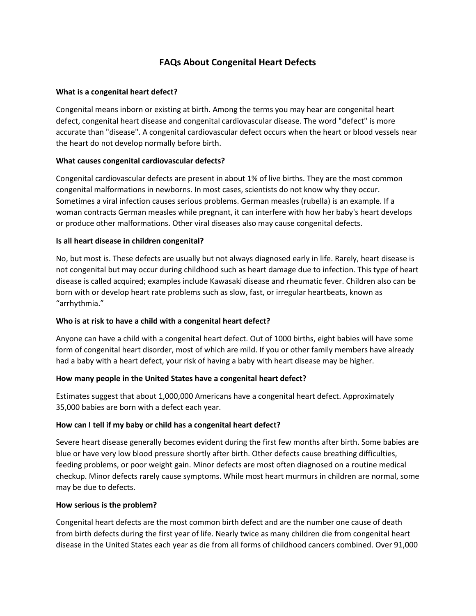# **FAQs About Congenital Heart Defects**

#### **What is a congenital heart defect?**

Congenital means inborn or existing at birth. Among the terms you may hear are congenital heart defect, congenital heart disease and congenital cardiovascular disease. The word "defect" is more accurate than "disease". A congenital cardiovascular defect occurs when the heart or blood vessels near the heart do not develop normally before birth.

## **What causes congenital cardiovascular defects?**

Congenital cardiovascular defects are present in about 1% of live births. They are the most common congenital malformations in newborns. In most cases, scientists do not know why they occur. Sometimes a viral infection causes serious problems. German measles (rubella) is an example. If a woman contracts German measles while pregnant, it can interfere with how her baby's heart develops or produce other malformations. Other viral diseases also may cause congenital defects.

#### **Is all heart disease in children congenital?**

No, but most is. These defects are usually but not always diagnosed early in life. Rarely, heart disease is not congenital but may occur during childhood such as heart damage due to infection. This type of heart disease is called acquired; examples include Kawasaki disease and rheumatic fever. Children also can be born with or develop heart rate problems such as slow, fast, or irregular heartbeats, known as "arrhythmia."

#### **Who is at risk to have a child with a congenital heart defect?**

Anyone can have a child with a congenital heart defect. Out of 1000 births, eight babies will have some form of congenital heart disorder, most of which are mild. If you or other family members have already had a baby with a heart defect, your risk of having a baby with heart disease may be higher.

#### **How many people in the United States have a congenital heart defect?**

Estimates suggest that about 1,000,000 Americans have a congenital heart defect. Approximately 35,000 babies are born with a defect each year.

#### **How can I tell if my baby or child has a congenital heart defect?**

Severe heart disease generally becomes evident during the first few months after birth. Some babies are blue or have very low blood pressure shortly after birth. Other defects cause breathing difficulties, feeding problems, or poor weight gain. Minor defects are most often diagnosed on a routine medical checkup. Minor defects rarely cause symptoms. While most heart murmurs in children are normal, some may be due to defects.

#### **How serious is the problem?**

Congenital heart defects are the most common birth defect and are the number one cause of death from birth defects during the first year of life. Nearly twice as many children die from congenital heart disease in the United States each year as die from all forms of childhood cancers combined. Over 91,000